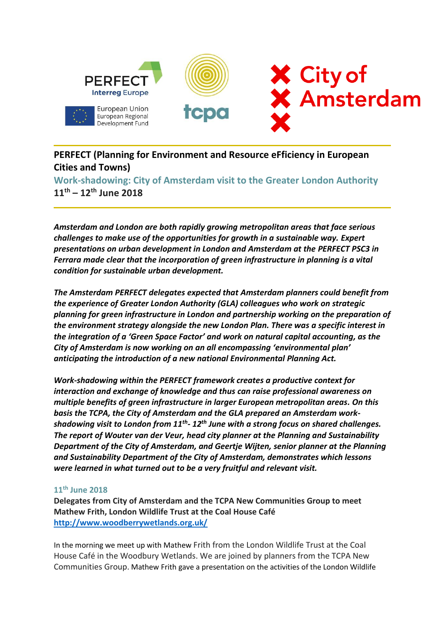

**PERFECT (Planning for Environment and Resource eFficiency in European Cities and Towns)**

**Work-shadowing: City of Amsterdam visit to the Greater London Authority 11th – 12th June 2018**

*Amsterdam and London are both rapidly growing metropolitan areas that face serious challenges to make use of the opportunities for growth in a sustainable way. Expert presentations on urban development in London and Amsterdam at the PERFECT PSC3 in Ferrara made clear that the incorporation of green infrastructure in planning is a vital condition for sustainable urban development.* 

*The Amsterdam PERFECT delegates expected that Amsterdam planners could benefit from the experience of Greater London Authority (GLA) colleagues who work on strategic planning for green infrastructure in London and partnership working on the preparation of the environment strategy alongside the new London Plan. There was a specific interest in the integration of a 'Green Space Factor' and work on natural capital accounting, as the City of Amsterdam is now working on an all encompassing 'environmental plan' anticipating the introduction of a new national Environmental Planning Act.* 

*Work-shadowing within the PERFECT framework creates a productive context for interaction and exchange of knowledge and thus can raise professional awareness on multiple benefits of green infrastructure in larger European metropolitan areas. On this basis the TCPA, the City of Amsterdam and the GLA prepared an Amsterdam workshadowing visit to London from 11th - 12th June with a strong focus on shared challenges. The report of Wouter van der Veur, head city planner at the Planning and Sustainability Department of the City of Amsterdam, and Geertje Wijten, senior planner at the Planning and Sustainability Department of the City of Amsterdam, demonstrates which lessons were learned in what turned out to be a very fruitful and relevant visit.* 

### **11th June 2018**

**Delegates from City of Amsterdam and the TCPA New Communities Group to meet Mathew Frith, London Wildlife Trust at the Coal House Café <http://www.woodberrywetlands.org.uk/>**

In the morning we meet up with Mathew Frith from the London Wildlife Trust at the Coal House Café in the Woodbury Wetlands. We are joined by planners from the TCPA New Communities Group. Mathew Frith gave a presentation on the activities of the London Wildlife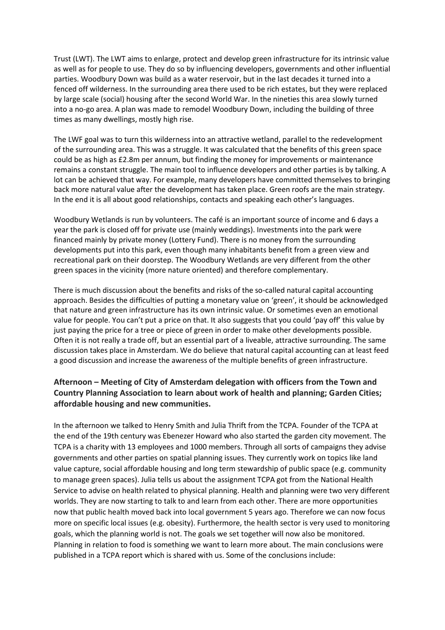Trust (LWT). The LWT aims to enlarge, protect and develop green infrastructure for its intrinsic value as well as for people to use. They do so by influencing developers, governments and other influential parties. Woodbury Down was build as a water reservoir, but in the last decades it turned into a fenced off wilderness. In the surrounding area there used to be rich estates, but they were replaced by large scale (social) housing after the second World War. In the nineties this area slowly turned into a no-go area. A plan was made to remodel Woodbury Down, including the building of three times as many dwellings, mostly high rise.

The LWF goal was to turn this wilderness into an attractive wetland, parallel to the redevelopment of the surrounding area. This was a struggle. It was calculated that the benefits of this green space could be as high as £2.8m per annum, but finding the money for improvements or maintenance remains a constant struggle. The main tool to influence developers and other parties is by talking. A lot can be achieved that way. For example, many developers have committed themselves to bringing back more natural value after the development has taken place. Green roofs are the main strategy. In the end it is all about good relationships, contacts and speaking each other's languages.

Woodbury Wetlands is run by volunteers. The café is an important source of income and 6 days a year the park is closed off for private use (mainly weddings). Investments into the park were financed mainly by private money (Lottery Fund). There is no money from the surrounding developments put into this park, even though many inhabitants benefit from a green view and recreational park on their doorstep. The Woodbury Wetlands are very different from the other green spaces in the vicinity (more nature oriented) and therefore complementary.

There is much discussion about the benefits and risks of the so-called natural capital accounting approach. Besides the difficulties of putting a monetary value on 'green', it should be acknowledged that nature and green infrastructure has its own intrinsic value. Or sometimes even an emotional value for people. You can't put a price on that. It also suggests that you could 'pay off' this value by just paying the price for a tree or piece of green in order to make other developments possible. Often it is not really a trade off, but an essential part of a liveable, attractive surrounding. The same discussion takes place in Amsterdam. We do believe that natural capital accounting can at least feed a good discussion and increase the awareness of the multiple benefits of green infrastructure.

# **Afternoon – Meeting of City of Amsterdam delegation with officers from the Town and Country Planning Association to learn about work of health and planning; Garden Cities; affordable housing and new communities.**

In the afternoon we talked to Henry Smith and Julia Thrift from the TCPA. Founder of the TCPA at the end of the 19th century was Ebenezer Howard who also started the garden city movement. The TCPA is a charity with 13 employees and 1000 members. Through all sorts of campaigns they advise governments and other parties on spatial planning issues. They currently work on topics like land value capture, social affordable housing and long term stewardship of public space (e.g. community to manage green spaces). Julia tells us about the assignment TCPA got from the National Health Service to advise on health related to physical planning. Health and planning were two very different worlds. They are now starting to talk to and learn from each other. There are more opportunities now that public health moved back into local government 5 years ago. Therefore we can now focus more on specific local issues (e.g. obesity). Furthermore, the health sector is very used to monitoring goals, which the planning world is not. The goals we set together will now also be monitored. Planning in relation to food is something we want to learn more about. The main conclusions were published in a TCPA report which is shared with us. Some of the conclusions include: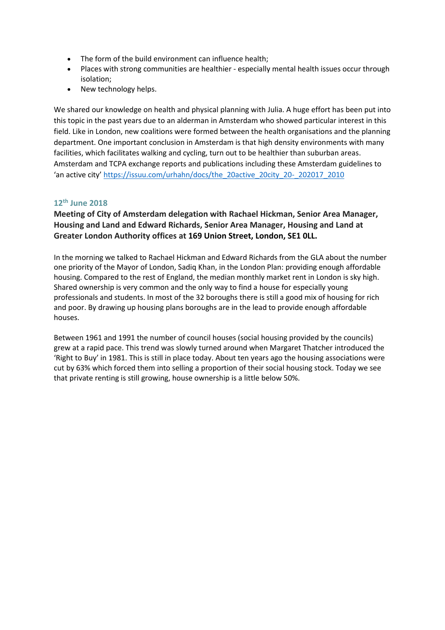- The form of the build environment can influence health;
- Places with strong communities are healthier especially mental health issues occur through isolation;
- New technology helps.

We shared our knowledge on health and physical planning with Julia. A huge effort has been put into this topic in the past years due to an alderman in Amsterdam who showed particular interest in this field. Like in London, new coalitions were formed between the health organisations and the planning department. One important conclusion in Amsterdam is that high density environments with many facilities, which facilitates walking and cycling, turn out to be healthier than suburban areas. Amsterdam and TCPA exchange reports and publications including these Amsterdam guidelines to 'an active city' [https://issuu.com/urhahn/docs/the\\_20active\\_20city\\_20-\\_202017\\_2010](https://issuu.com/urhahn/docs/the_20active_20city_20-_202017_2010)

## **12th June 2018**

## **Meeting of City of Amsterdam delegation with Rachael Hickman, Senior Area Manager, Housing and Land and Edward Richards, Senior Area Manager, Housing and Land at Greater London Authority offices at 169 Union Street, London, SE1 0LL.**

In the morning we talked to Rachael Hickman and Edward Richards from the GLA about the number one priority of the Mayor of London, Sadiq Khan, in the London Plan: providing enough affordable housing. Compared to the rest of England, the median monthly market rent in London is sky high. Shared ownership is very common and the only way to find a house for especially young professionals and students. In most of the 32 boroughs there is still a good mix of housing for rich and poor. By drawing up housing plans boroughs are in the lead to provide enough affordable houses.

Between 1961 and 1991 the number of council houses (social housing provided by the councils) grew at a rapid pace. This trend was slowly turned around when Margaret Thatcher introduced the 'Right to Buy' in 1981. This is still in place today. About ten years ago the housing associations were cut by 63% which forced them into selling a proportion of their social housing stock. Today we see that private renting is still growing, house ownership is a little below 50%.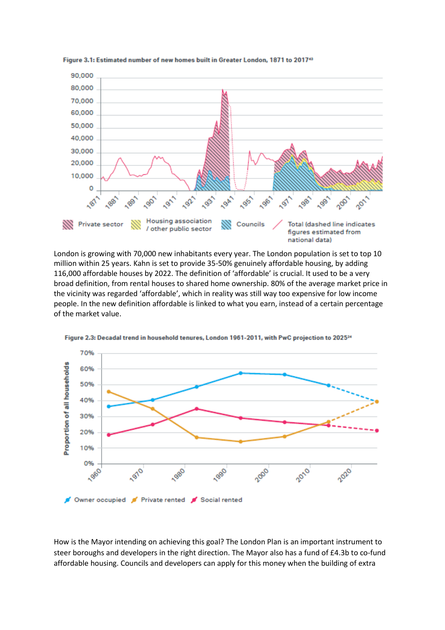

Figure 3.1: Estimated number of new homes built in Greater London, 1871 to 2017<sup>43</sup>

London is growing with 70,000 new inhabitants every year. The London population is set to top 10 million within 25 years. Kahn is set to provide 35-50% genuinely affordable housing, by adding 116,000 affordable houses by 2022. The definition of 'affordable' is crucial. It used to be a very broad definition, from rental houses to shared home ownership. 80% of the average market price in the vicinity was regarded 'affordable', which in reality was still way too expensive for low income people. In the new definition affordable is linked to what you earn, instead of a certain percentage of the market value.



Figure 2.3: Decadal trend in household tenures, London 1961-2011, with PwC projection to 2025<sup>24</sup>

How is the Mayor intending on achieving this goal? The London Plan is an important instrument to steer boroughs and developers in the right direction. The Mayor also has a fund of £4.3b to co-fund affordable housing. Councils and developers can apply for this money when the building of extra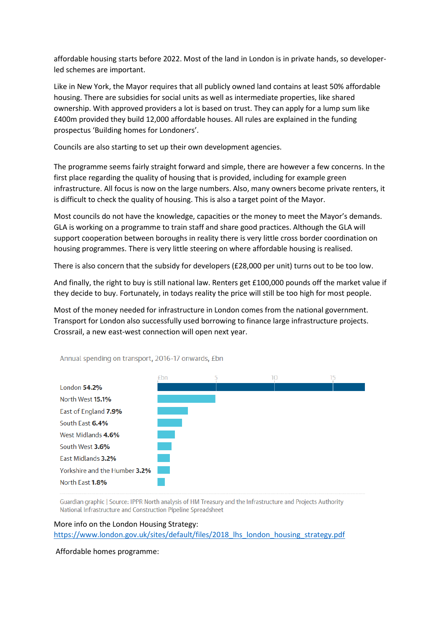affordable housing starts before 2022. Most of the land in London is in private hands, so developerled schemes are important.

Like in New York, the Mayor requires that all publicly owned land contains at least 50% affordable housing. There are subsidies for social units as well as intermediate properties, like shared ownership. With approved providers a lot is based on trust. They can apply for a lump sum like £400m provided they build 12,000 affordable houses. All rules are explained in the funding prospectus 'Building homes for Londoners'.

Councils are also starting to set up their own development agencies.

The programme seems fairly straight forward and simple, there are however a few concerns. In the first place regarding the quality of housing that is provided, including for example green infrastructure. All focus is now on the large numbers. Also, many owners become private renters, it is difficult to check the quality of housing. This is also a target point of the Mayor.

Most councils do not have the knowledge, capacities or the money to meet the Mayor's demands. GLA is working on a programme to train staff and share good practices. Although the GLA will support cooperation between boroughs in reality there is very little cross border coordination on housing programmes. There is very little steering on where affordable housing is realised.

There is also concern that the subsidy for developers (£28,000 per unit) turns out to be too low.

And finally, the right to buy is still national law. Renters get £100,000 pounds off the market value if they decide to buy. Fortunately, in todays reality the price will still be too high for most people.

Most of the money needed for infrastructure in London comes from the national government. Transport for London also successfully used borrowing to finance large infrastructure projects. Crossrail, a new east-west connection will open next year.



Annual spending on transport, 2016-17 onwards, £bn

Guardian graphic | Source: IPPR North analysis of HM Treasury and the Infrastructure and Projects Authority National Infrastructure and Construction Pipeline Spreadsheet

#### More info on the London Housing Strategy:

[https://www.london.gov.uk/sites/default/files/2018\\_lhs\\_london\\_housing\\_strategy.pdf](https://www.london.gov.uk/sites/default/files/2018_lhs_london_housing_strategy.pdf)

Affordable homes programme: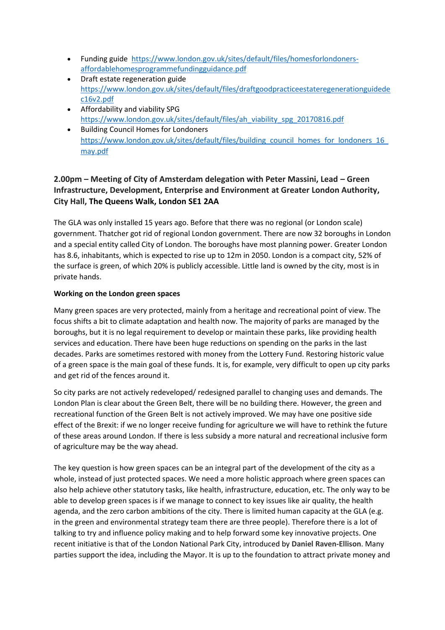- Funding guide [https://www.london.gov.uk/sites/default/files/homesforlondoners](https://www.london.gov.uk/sites/default/files/homesforlondoners-affordablehomesprogrammefundingguidance.pdf)[affordablehomesprogrammefundingguidance.pdf](https://www.london.gov.uk/sites/default/files/homesforlondoners-affordablehomesprogrammefundingguidance.pdf)
- Draft estate regeneration guide [https://www.london.gov.uk/sites/default/files/draftgoodpracticeestateregenerationguidede](https://www.london.gov.uk/sites/default/files/draftgoodpracticeestateregenerationguidedec16v2.pdf) [c16v2.pdf](https://www.london.gov.uk/sites/default/files/draftgoodpracticeestateregenerationguidedec16v2.pdf)
- Affordability and viability SPG [https://www.london.gov.uk/sites/default/files/ah\\_viability\\_spg\\_20170816.pdf](https://www.london.gov.uk/sites/default/files/ah_viability_spg_20170816.pdf)
- Building Council Homes for Londoners https://www.london.gov.uk/sites/default/files/building\_council\_homes\_for\_londoners\_16 [may.pdf](https://www.london.gov.uk/sites/default/files/building_council_homes_for_londoners_16_may.pdf)

# **2.00pm – Meeting of City of Amsterdam delegation with Peter Massini, Lead – Green Infrastructure, Development, Enterprise and Environment at Greater London Authority, City Hall, The Queens Walk, London SE1 2AA**

The GLA was only installed 15 years ago. Before that there was no regional (or London scale) government. Thatcher got rid of regional London government. There are now 32 boroughs in London and a special entity called City of London. The boroughs have most planning power. Greater London has 8.6, inhabitants, which is expected to rise up to 12m in 2050. London is a compact city, 52% of the surface is green, of which 20% is publicly accessible. Little land is owned by the city, most is in private hands.

## **Working on the London green spaces**

Many green spaces are very protected, mainly from a heritage and recreational point of view. The focus shifts a bit to climate adaptation and health now. The majority of parks are managed by the boroughs, but it is no legal requirement to develop or maintain these parks, like providing health services and education. There have been huge reductions on spending on the parks in the last decades. Parks are sometimes restored with money from the Lottery Fund. Restoring historic value of a green space is the main goal of these funds. It is, for example, very difficult to open up city parks and get rid of the fences around it.

So city parks are not actively redeveloped/ redesigned parallel to changing uses and demands. The London Plan is clear about the Green Belt, there will be no building there. However, the green and recreational function of the Green Belt is not actively improved. We may have one positive side effect of the Brexit: if we no longer receive funding for agriculture we will have to rethink the future of these areas around London. If there is less subsidy a more natural and recreational inclusive form of agriculture may be the way ahead.

The key question is how green spaces can be an integral part of the development of the city as a whole, instead of just protected spaces. We need a more holistic approach where green spaces can also help achieve other statutory tasks, like health, infrastructure, education, etc. The only way to be able to develop green spaces is if we manage to connect to key issues like air quality, the health agenda, and the zero carbon ambitions of the city. There is limited human capacity at the GLA (e.g. in the green and environmental strategy team there are three people). Therefore there is a lot of talking to try and influence policy making and to help forward some key innovative projects. One recent initiative is that of the London National Park City, introduced by **Daniel Raven-Ellison**. Many parties support the idea, including the Mayor. It is up to the foundation to attract private money and